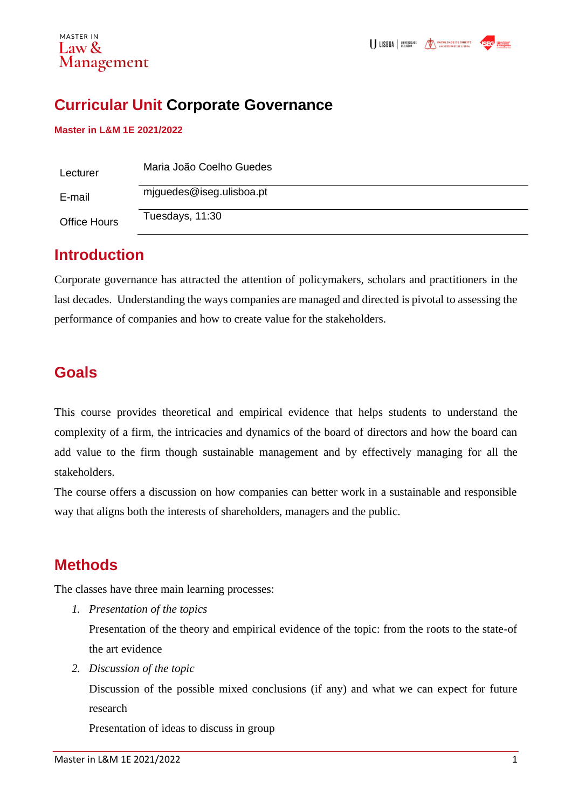

## **Curricular Unit Corporate Governance**

### **Master in L&M 1E 2021/2022**

| Lecturer            | Maria João Coelho Guedes |
|---------------------|--------------------------|
| E-mail              | miguedes@iseg.ulisboa.pt |
| <b>Office Hours</b> | Tuesdays, 11:30          |

## **Introduction**

Corporate governance has attracted the attention of policymakers, scholars and practitioners in the last decades. Understanding the ways companies are managed and directed is pivotal to assessing the performance of companies and how to create value for the stakeholders.

## **Goals**

This course provides theoretical and empirical evidence that helps students to understand the complexity of a firm, the intricacies and dynamics of the board of directors and how the board can add value to the firm though sustainable management and by effectively managing for all the stakeholders.

The course offers a discussion on how companies can better work in a sustainable and responsible way that aligns both the interests of shareholders, managers and the public.

# **Methods**

The classes have three main learning processes:

*1. Presentation of the topics*

Presentation of the theory and empirical evidence of the topic: from the roots to the state-of the art evidence

*2. Discussion of the topic*

Discussion of the possible mixed conclusions (if any) and what we can expect for future research

Presentation of ideas to discuss in group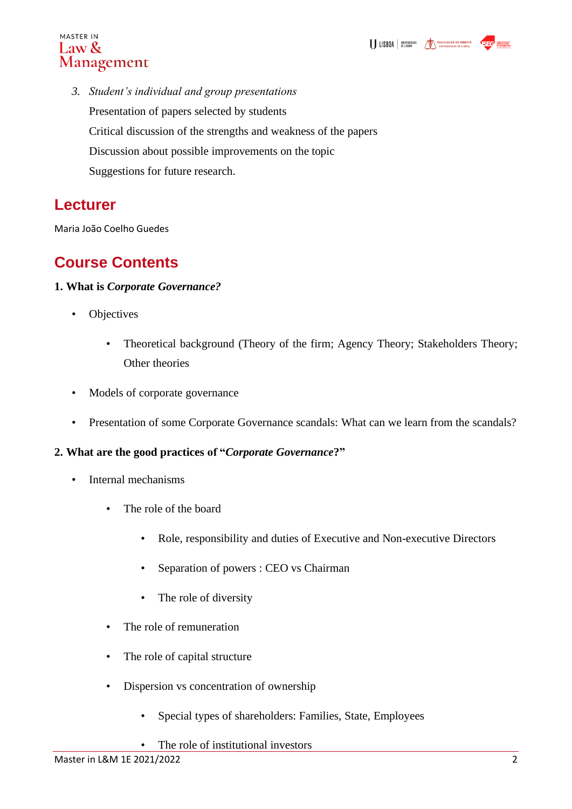## MASTER IN Law  $\&$ Management

*3. Student's individual and group presentations* Presentation of papers selected by students Critical discussion of the strengths and weakness of the papers Discussion about possible improvements on the topic Suggestions for future research.

# **Lecturer**

Maria João Coelho Guedes

# **Course Contents**

### **1. What is** *Corporate Governance?*

- Objectives
	- Theoretical background (Theory of the firm; Agency Theory; Stakeholders Theory; Other theories
- Models of corporate governance
- Presentation of some Corporate Governance scandals: What can we learn from the scandals?

### **2. What are the good practices of "***Corporate Governance***?"**

- Internal mechanisms
	- The role of the board
		- Role, responsibility and duties of Executive and Non-executive Directors
		- Separation of powers : CEO vs Chairman
		- The role of diversity
	- The role of remuneration
	- The role of capital structure
	- Dispersion vs concentration of ownership
		- Special types of shareholders: Families, State, Employees
		- The role of institutional investors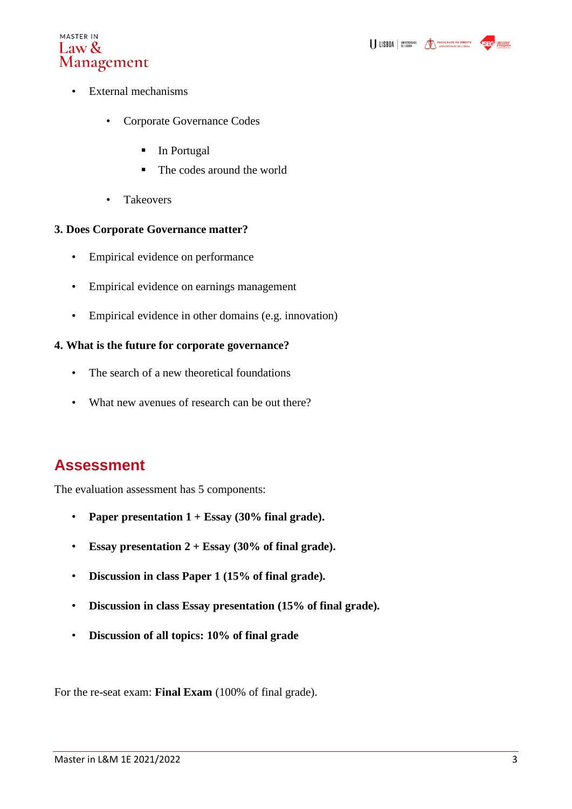

- External mechanisms
	- Corporate Governance Codes
		- In Portugal
		- The codes around the world
	- Takeovers

#### **3. Does Corporate Governance matter?**

- Empirical evidence on performance
- Empirical evidence on earnings management
- Empirical evidence in other domains (e.g. innovation)

#### **4. What is the future for corporate governance?**

- The search of a new theoretical foundations
- What new avenues of research can be out there?

## **Assessment**

The evaluation assessment has 5 components:

- **Paper presentation 1 + Essay (30% final grade).**
- **Essay presentation 2 + Essay (30% of final grade).**
- **Discussion in class Paper 1 (15% of final grade).**
- **Discussion in class Essay presentation (15% of final grade).**
- **Discussion of all topics: 10% of final grade**

For the re-seat exam: **Final Exam** (100% of final grade).